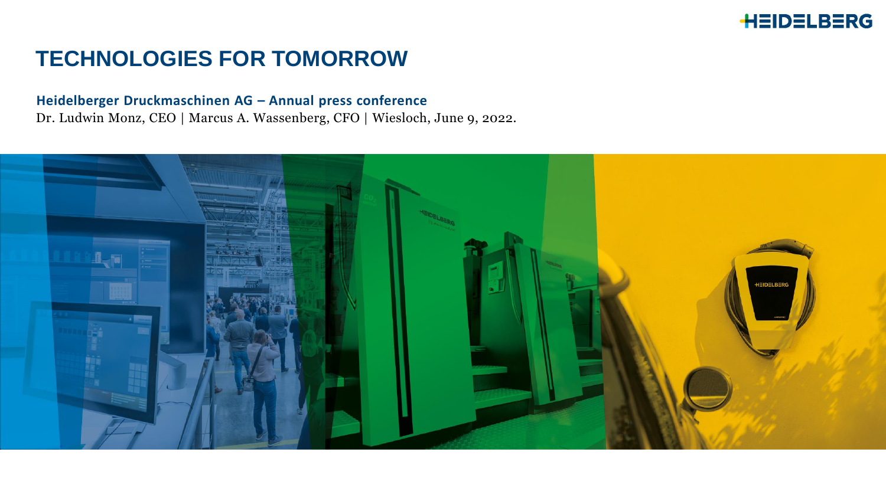#### **TECHNOLOGIES FOR TOMORROW**

#### **Heidelberger Druckmaschinen AG – Annual press conference**

Dr. Ludwin Monz, CEO | Marcus A. Wassenberg, CFO | Wiesloch, June 9, 2022.

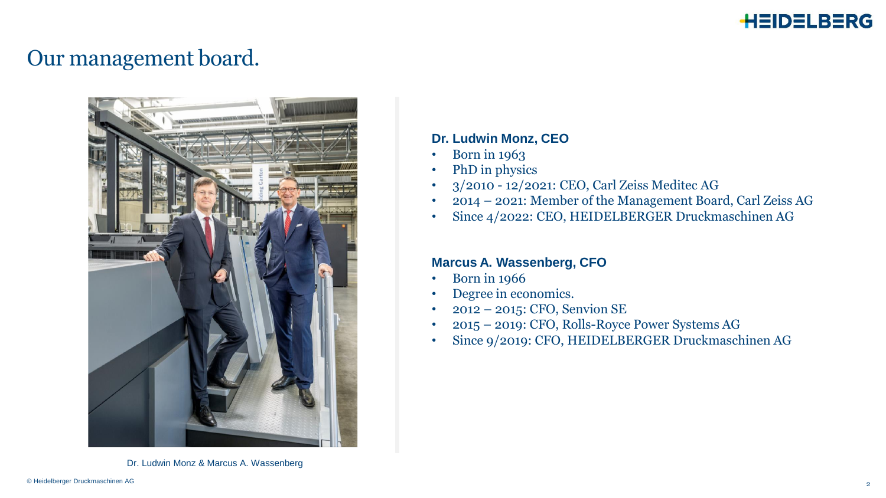

#### Our management board.



Dr. Ludwin Monz & Marcus A. Wassenberg

#### **Dr. Ludwin Monz, CEO**

- Born in 1963
- PhD in physics
- 3/2010 12/2021: CEO, Carl Zeiss Meditec AG
- 2014 2021: Member of the Management Board, Carl Zeiss AG
- Since 4/2022: CEO, HEIDELBERGER Druckmaschinen AG

#### **Marcus A. Wassenberg, CFO**

- Born in 1966
- Degree in economics.
- 2012 2015: CFO, Senvion SE
- 2015 2019: CFO, Rolls-Royce Power Systems AG
- Since 9/2019: CFO, HEIDELBERGER Druckmaschinen AG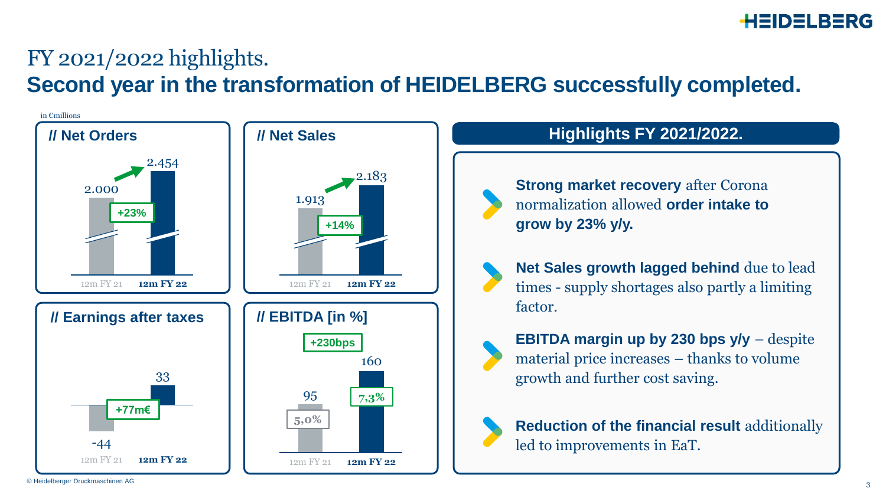# FY 2021/2022 highlights.

**Second year in the transformation of HEIDELBERG successfully completed.**



© Heidelberger Druckmaschinen AG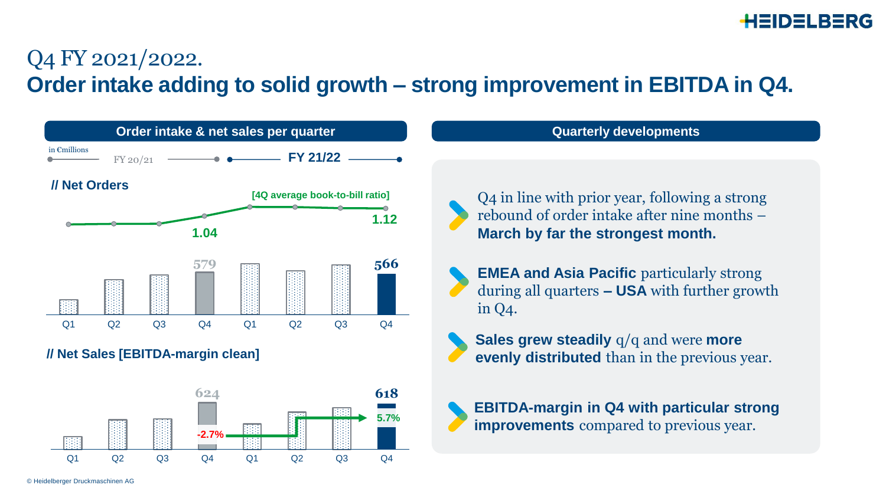### Q4 FY 2021/2022. **Order intake adding to solid growth – strong improvement in EBITDA in Q4.**

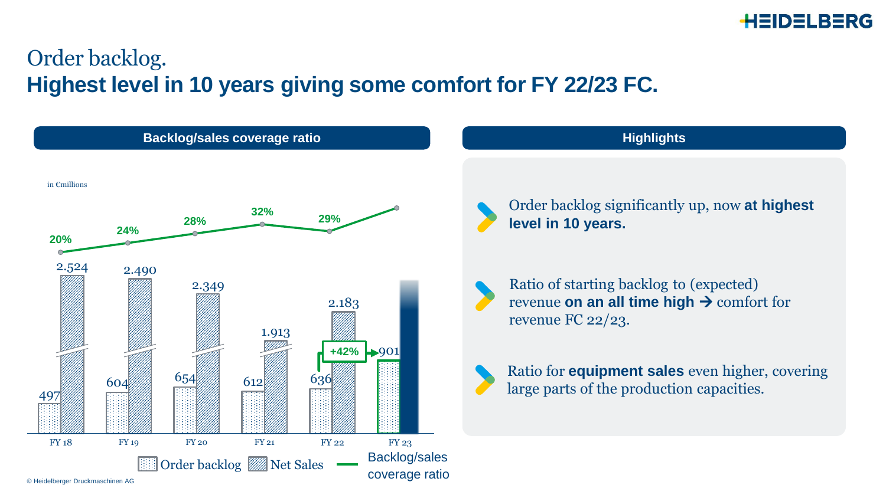

### Order backlog. **Highest level in 10 years giving some comfort for FY 22/23 FC.**

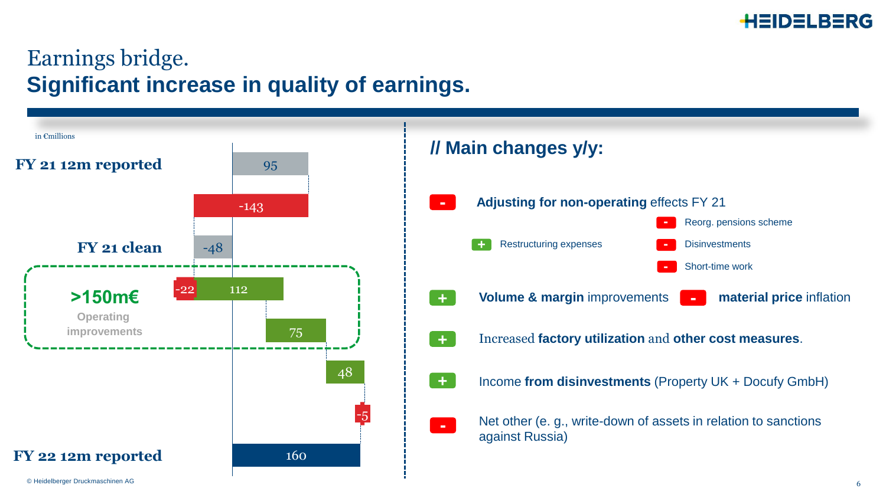

### Earnings bridge. **Significant increase in quality of earnings.**

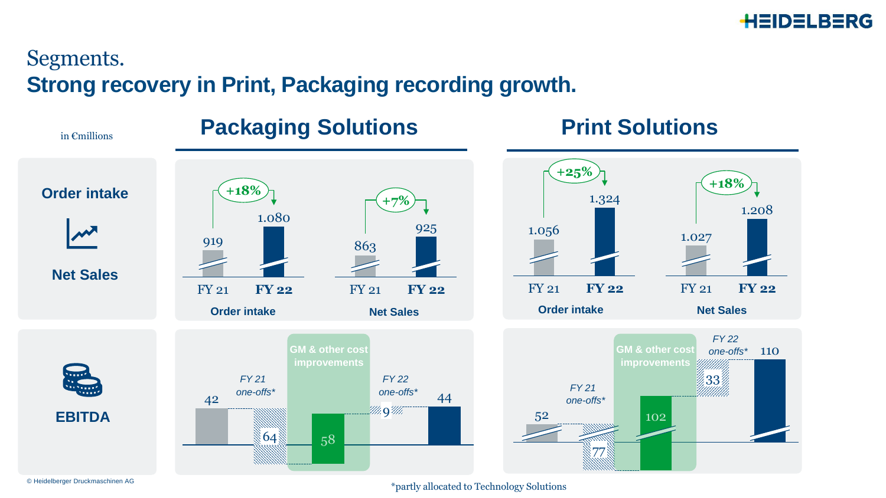

#### Segments. **Strong recovery in Print, Packaging recording growth.**

**Packaging Solutions 6 and Print Solutions Net Sales** FY 21 **FY 22** 1.324 1.056 **+25%** FY 21 **FY 22** 1.027 1.208 **+18%** FY 21 1.080 **FY 22** 919 **+18%** FY 21 **FY 22** 863 925 **+7% Order intake Order intake Net Sales Net Sales EBITDA Order intake**  $42$  one-offs and  $44$ 64 M. 9 M. 58 33 77 102 one-offs<sup>\*</sup> 110 52 **GM & other cost improvements** *FY 22 FY 22 one-offs\* FY 21 one-offs\* FY 21 one-offs\** in €millions **GM & other cost improvements**

© Heidelberger Druckmaschinen AG

\*partly allocated to Technology Solutions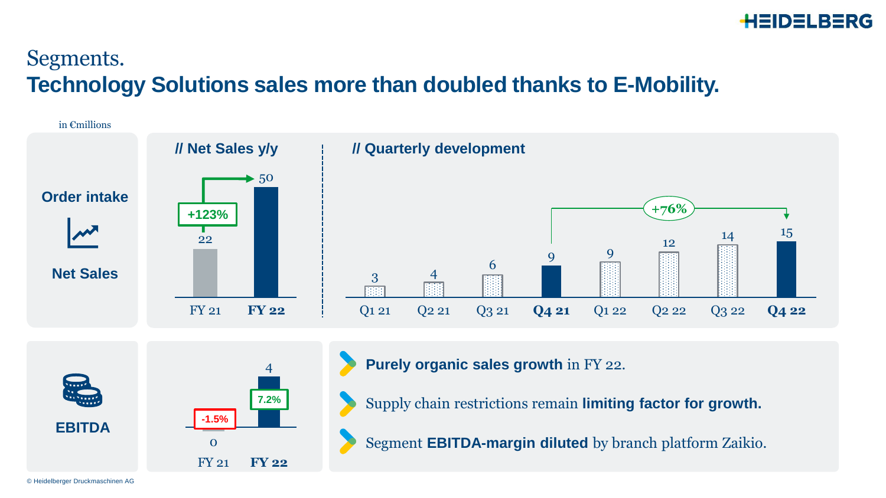### Segments. **Technology Solutions sales more than doubled thanks to E-Mobility.**





**Purely organic sales growth** in FY 22.

Supply chain restrictions remain **limiting factor for growth.**

Segment **EBITDA-margin diluted** by branch platform Zaikio.

© Heidelberger Druckmaschinen AG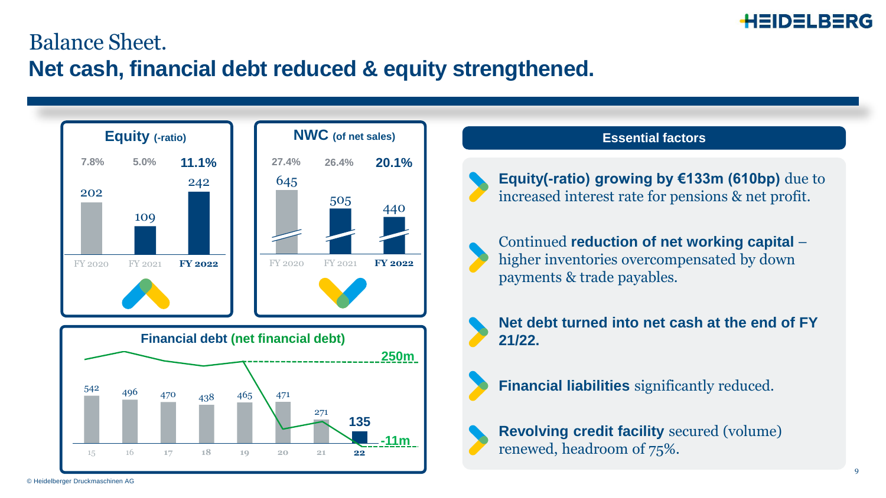

#### Balance Sheet. **Net cash, financial debt reduced & equity strengthened.**



# **Essential factors**

**Equity(-ratio) growing by €133m (610bp)** due to increased interest rate for pensions & net profit.



Continued **reduction of net working capital** – higher inventories overcompensated by down payments & trade payables.



**Net debt turned into net cash at the end of FY 21/22.** 





**Revolving credit facility** secured (volume) renewed, headroom of 75%.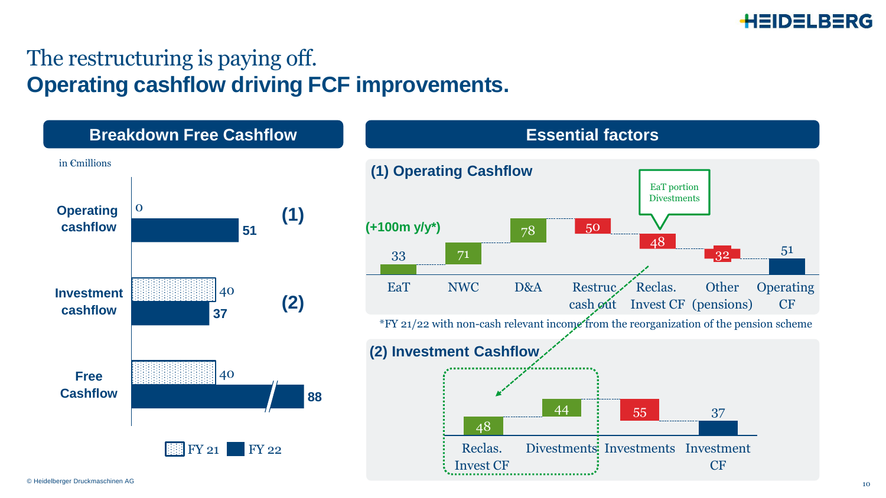

### The restructuring is paying off. **Operating cashflow driving FCF improvements.**

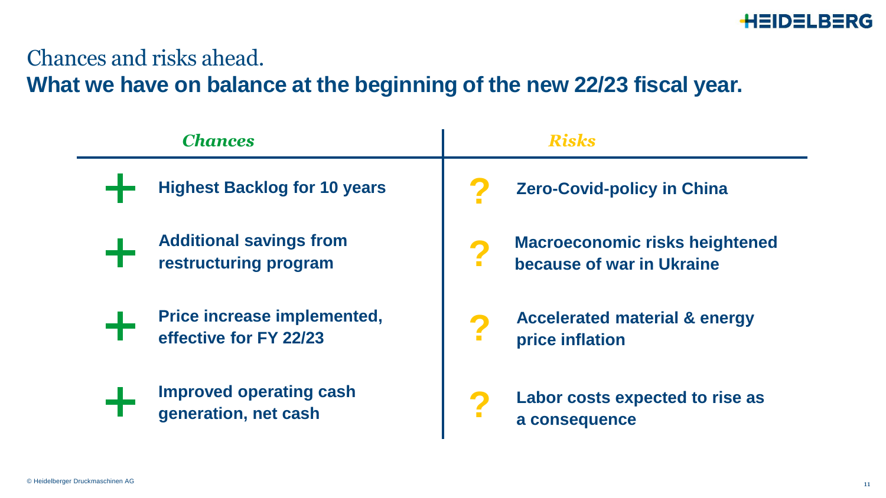

#### Chances and risks ahead.

**What we have on balance at the beginning of the new 22/23 fiscal year.**

| <b>Chances</b>                      | Risks                                    |
|-------------------------------------|------------------------------------------|
| <b>Highest Backlog for 10 years</b> | <b>Zero-Covid-policy in China</b>        |
| <b>Additional savings from</b>      | <b>Macroeconomic risks heightened</b>    |
| restructuring program               | because of war in Ukraine                |
| Price increase implemented,         | <b>Accelerated material &amp; energy</b> |
| effective for FY 22/23              | price inflation                          |
| <b>Improved operating cash</b>      | Labor costs expected to rise as          |
| generation, net cash                | a consequence                            |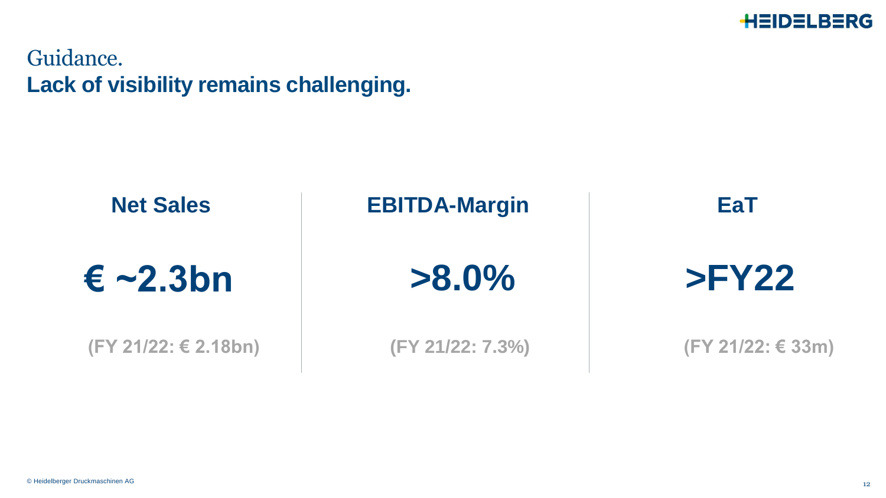

Guidance. **Lack of visibility remains challenging.**

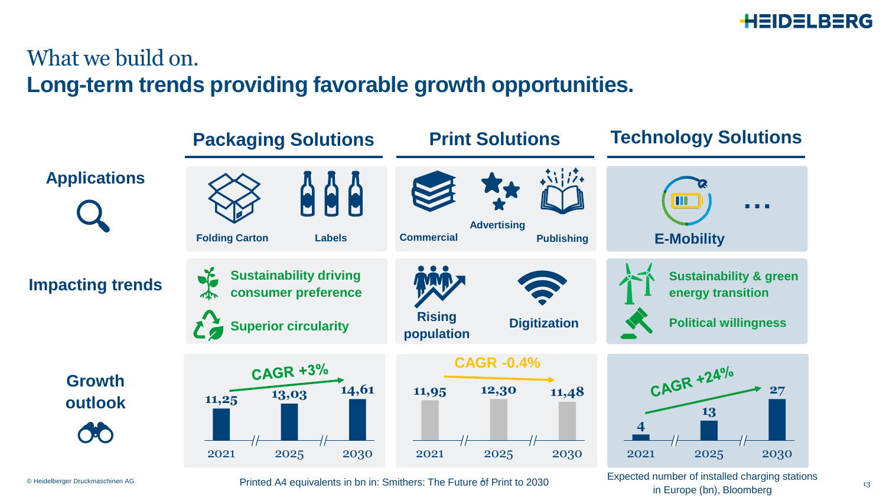

13

### What we build on. **Long-term trends providing favorable growth opportunities.**



Expected number of installed charging stations in Europe (bn), Bloomberg

© Heidelberger Druckmaschinen AG

Printed A4 equivalents in bn in: Smithers: The Future of Print to 2030